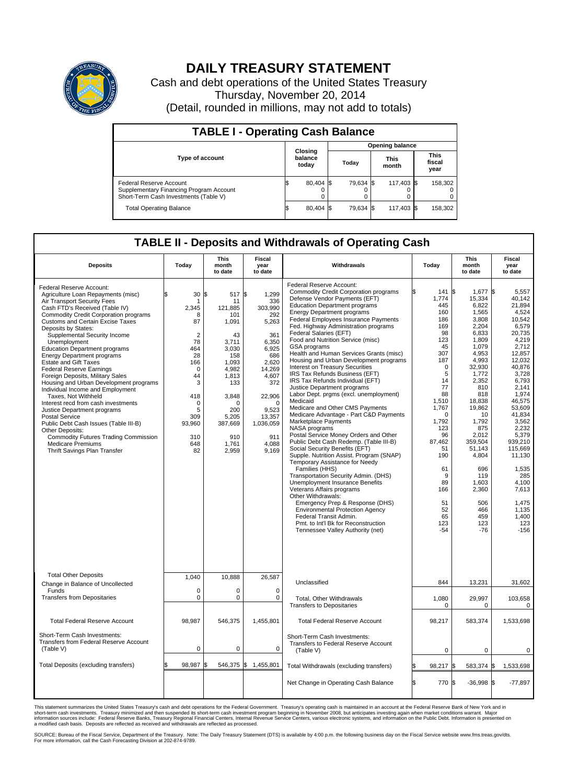

## **DAILY TREASURY STATEMENT**

Cash and debt operations of the United States Treasury Thursday, November 20, 2014 (Detail, rounded in millions, may not add to totals)

| <b>TABLE I - Operating Cash Balance</b>                                                                     |                        |                             |  |           |  |                      |  |                               |  |  |
|-------------------------------------------------------------------------------------------------------------|------------------------|-----------------------------|--|-----------|--|----------------------|--|-------------------------------|--|--|
|                                                                                                             | <b>Opening balance</b> |                             |  |           |  |                      |  |                               |  |  |
| <b>Type of account</b>                                                                                      |                        | Closing<br>balance<br>today |  | Today     |  | <b>This</b><br>month |  | <b>This</b><br>fiscal<br>year |  |  |
| Federal Reserve Account<br>Supplementary Financing Program Account<br>Short-Term Cash Investments (Table V) |                        | 80,404 \$                   |  | 79.634 \$ |  | 117.403 \$           |  | 158,302                       |  |  |
| <b>Total Operating Balance</b>                                                                              |                        | 80,404 \$                   |  | 79.634 \$ |  | 117,403 \$           |  | 158,302                       |  |  |

## **TABLE II - Deposits and Withdrawals of Operating Cash**

| <b>Deposits</b>                                                                                                                                                                                                                                                                                                                                                                                                                                                                                                                                                                                                                                                                                                                                                                                                                                                  | Today                                                                                                                                                              | This<br>month<br>to date                                                                                                                                                          | Fiscal<br>year<br>to date                                                                                                                                                                 | Withdrawals                                                                                                                                                                                                                                                                                                                                                                                                                                                                                                                                                                                                                                                                                                                                                                                                                                                                                                                                                                                                                                                                                                                                                                                                                                                                                                       | Today                                                                                                                                                                                                                                               | This<br>month<br>to date                                                                                                                                                                                                                                                                               | <b>Fiscal</b><br>year<br>to date                                                                                                                                                                                                                                                                                                  |
|------------------------------------------------------------------------------------------------------------------------------------------------------------------------------------------------------------------------------------------------------------------------------------------------------------------------------------------------------------------------------------------------------------------------------------------------------------------------------------------------------------------------------------------------------------------------------------------------------------------------------------------------------------------------------------------------------------------------------------------------------------------------------------------------------------------------------------------------------------------|--------------------------------------------------------------------------------------------------------------------------------------------------------------------|-----------------------------------------------------------------------------------------------------------------------------------------------------------------------------------|-------------------------------------------------------------------------------------------------------------------------------------------------------------------------------------------|-------------------------------------------------------------------------------------------------------------------------------------------------------------------------------------------------------------------------------------------------------------------------------------------------------------------------------------------------------------------------------------------------------------------------------------------------------------------------------------------------------------------------------------------------------------------------------------------------------------------------------------------------------------------------------------------------------------------------------------------------------------------------------------------------------------------------------------------------------------------------------------------------------------------------------------------------------------------------------------------------------------------------------------------------------------------------------------------------------------------------------------------------------------------------------------------------------------------------------------------------------------------------------------------------------------------|-----------------------------------------------------------------------------------------------------------------------------------------------------------------------------------------------------------------------------------------------------|--------------------------------------------------------------------------------------------------------------------------------------------------------------------------------------------------------------------------------------------------------------------------------------------------------|-----------------------------------------------------------------------------------------------------------------------------------------------------------------------------------------------------------------------------------------------------------------------------------------------------------------------------------|
| Federal Reserve Account:<br>Agriculture Loan Repayments (misc)<br>Air Transport Security Fees<br>Cash FTD's Received (Table IV)<br><b>Commodity Credit Corporation programs</b><br><b>Customs and Certain Excise Taxes</b><br>Deposits by States:<br>Supplemental Security Income<br>Unemployment<br><b>Education Department programs</b><br><b>Energy Department programs</b><br><b>Estate and Gift Taxes</b><br><b>Federal Reserve Earnings</b><br>Foreign Deposits, Military Sales<br>Housing and Urban Development programs<br>Individual Income and Employment<br>Taxes, Not Withheld<br>Interest recd from cash investments<br>Justice Department programs<br><b>Postal Service</b><br>Public Debt Cash Issues (Table III-B)<br>Other Deposits:<br><b>Commodity Futures Trading Commission</b><br><b>Medicare Premiums</b><br>Thrift Savings Plan Transfer | \$<br>30<br>-1<br>2,345<br>8<br>87<br>$\overline{2}$<br>78<br>464<br>28<br>166<br>$\Omega$<br>44<br>3<br>418<br>$\Omega$<br>5<br>309<br>93,960<br>310<br>648<br>82 | 517 \$<br>l\$<br>11<br>121,885<br>101<br>1,091<br>43<br>3.711<br>3,030<br>158<br>1,093<br>4,982<br>1,813<br>133<br>3,848<br>ŋ<br>200<br>5,205<br>387,669<br>910<br>1,761<br>2,959 | 1,299<br>336<br>303,990<br>292<br>5,263<br>361<br>6.350<br>6,925<br>686<br>2,620<br>14,269<br>4.607<br>372<br>22,906<br>$\Omega$<br>9,523<br>13,357<br>1,036,059<br>911<br>4,088<br>9,169 | Federal Reserve Account:<br><b>Commodity Credit Corporation programs</b><br>Defense Vendor Payments (EFT)<br><b>Education Department programs</b><br><b>Energy Department programs</b><br><b>Federal Employees Insurance Payments</b><br>Fed. Highway Administration programs<br>Federal Salaries (EFT)<br>Food and Nutrition Service (misc)<br>GSA programs<br>Health and Human Services Grants (misc)<br>Housing and Urban Development programs<br>Interest on Treasury Securities<br>IRS Tax Refunds Business (EFT)<br>IRS Tax Refunds Individual (EFT)<br>Justice Department programs<br>Labor Dept. prgms (excl. unemployment)<br>Medicaid<br>Medicare and Other CMS Payments<br>Medicare Advantage - Part C&D Payments<br>Marketplace Payments<br><b>NASA</b> programs<br>Postal Service Money Orders and Other<br>Public Debt Cash Redemp. (Table III-B)<br>Social Security Benefits (EFT)<br>Supple. Nutrition Assist. Program (SNAP)<br>Temporary Assistance for Needy<br>Families (HHS)<br>Transportation Security Admin. (DHS)<br>Unemployment Insurance Benefits<br>Veterans Affairs programs<br>Other Withdrawals:<br>Emergency Prep & Response (DHS)<br><b>Environmental Protection Agency</b><br>Federal Transit Admin.<br>Pmt. to Int'l Bk for Reconstruction<br>Tennessee Valley Authority (net) | Ŝ.<br>141<br>1,774<br>445<br>160<br>186<br>169<br>98<br>123<br>45<br>307<br>187<br>$\mathbf 0$<br>5<br>14<br>77<br>88<br>1,510<br>1,767<br>0<br>1,792<br>123<br>96<br>87,462<br>51<br>190<br>61<br>9<br>89<br>166<br>51<br>52<br>65<br>123<br>$-54$ | \$<br>1,677<br>15,334<br>6.822<br>1,565<br>3,808<br>2,204<br>6.833<br>1,809<br>1.079<br>4,953<br>4,993<br>32,930<br>1,772<br>2,352<br>810<br>818<br>18,838<br>19,862<br>10<br>1,792<br>875<br>2,012<br>359,504<br>51,143<br>4,804<br>696<br>119<br>1,603<br>2,360<br>506<br>466<br>459<br>123<br>$-76$ | l\$<br>5,557<br>40.142<br>21.894<br>4,524<br>10.542<br>6,579<br>20.735<br>4,219<br>2.712<br>12,857<br>12,032<br>40,876<br>3,728<br>6.793<br>2,141<br>1,974<br>46,575<br>53.609<br>41,834<br>3,562<br>2.232<br>5,379<br>939,210<br>115,669<br>11,130<br>1,535<br>285<br>4,100<br>7.613<br>1.475<br>1,135<br>1,400<br>123<br>$-156$ |
| <b>Total Other Deposits</b><br>Change in Balance of Uncollected                                                                                                                                                                                                                                                                                                                                                                                                                                                                                                                                                                                                                                                                                                                                                                                                  | 1,040                                                                                                                                                              | 10,888                                                                                                                                                                            | 26,587                                                                                                                                                                                    | Unclassified                                                                                                                                                                                                                                                                                                                                                                                                                                                                                                                                                                                                                                                                                                                                                                                                                                                                                                                                                                                                                                                                                                                                                                                                                                                                                                      | 844                                                                                                                                                                                                                                                 | 13,231                                                                                                                                                                                                                                                                                                 | 31,602                                                                                                                                                                                                                                                                                                                            |
| Funds<br><b>Transfers from Depositaries</b>                                                                                                                                                                                                                                                                                                                                                                                                                                                                                                                                                                                                                                                                                                                                                                                                                      | $\mathbf 0$<br>0                                                                                                                                                   | $\Omega$<br>0                                                                                                                                                                     | $\Omega$<br>0                                                                                                                                                                             | Total, Other Withdrawals<br><b>Transfers to Depositaries</b>                                                                                                                                                                                                                                                                                                                                                                                                                                                                                                                                                                                                                                                                                                                                                                                                                                                                                                                                                                                                                                                                                                                                                                                                                                                      | 1,080<br>$\mathbf 0$                                                                                                                                                                                                                                | 29,997<br>$\mathbf 0$                                                                                                                                                                                                                                                                                  | 103,658<br>$\Omega$                                                                                                                                                                                                                                                                                                               |
| <b>Total Federal Reserve Account</b>                                                                                                                                                                                                                                                                                                                                                                                                                                                                                                                                                                                                                                                                                                                                                                                                                             | 98,987                                                                                                                                                             | 546,375                                                                                                                                                                           | 1,455,801                                                                                                                                                                                 | <b>Total Federal Reserve Account</b>                                                                                                                                                                                                                                                                                                                                                                                                                                                                                                                                                                                                                                                                                                                                                                                                                                                                                                                                                                                                                                                                                                                                                                                                                                                                              | 98,217                                                                                                                                                                                                                                              | 583,374                                                                                                                                                                                                                                                                                                | 1,533,698                                                                                                                                                                                                                                                                                                                         |
| Short-Term Cash Investments:<br>Transfers from Federal Reserve Account<br>(Table V)                                                                                                                                                                                                                                                                                                                                                                                                                                                                                                                                                                                                                                                                                                                                                                              | $\mathbf 0$                                                                                                                                                        | 0                                                                                                                                                                                 | $\mathbf 0$                                                                                                                                                                               | Short-Term Cash Investments:<br>Transfers to Federal Reserve Account<br>(Table V)                                                                                                                                                                                                                                                                                                                                                                                                                                                                                                                                                                                                                                                                                                                                                                                                                                                                                                                                                                                                                                                                                                                                                                                                                                 | $\mathbf 0$                                                                                                                                                                                                                                         | $\mathbf 0$                                                                                                                                                                                                                                                                                            | $\Omega$                                                                                                                                                                                                                                                                                                                          |
| Total Deposits (excluding transfers)                                                                                                                                                                                                                                                                                                                                                                                                                                                                                                                                                                                                                                                                                                                                                                                                                             | \$<br>98,987                                                                                                                                                       | l\$                                                                                                                                                                               | 546,375 \$ 1,455,801                                                                                                                                                                      | Total Withdrawals (excluding transfers)                                                                                                                                                                                                                                                                                                                                                                                                                                                                                                                                                                                                                                                                                                                                                                                                                                                                                                                                                                                                                                                                                                                                                                                                                                                                           | 98,217<br>ß.                                                                                                                                                                                                                                        | \$<br>583,374 \$                                                                                                                                                                                                                                                                                       | 1,533,698                                                                                                                                                                                                                                                                                                                         |
|                                                                                                                                                                                                                                                                                                                                                                                                                                                                                                                                                                                                                                                                                                                                                                                                                                                                  |                                                                                                                                                                    |                                                                                                                                                                                   |                                                                                                                                                                                           | Net Change in Operating Cash Balance                                                                                                                                                                                                                                                                                                                                                                                                                                                                                                                                                                                                                                                                                                                                                                                                                                                                                                                                                                                                                                                                                                                                                                                                                                                                              | <b>S</b><br>770                                                                                                                                                                                                                                     | $-36,998$ \$<br>\$                                                                                                                                                                                                                                                                                     | $-77,897$                                                                                                                                                                                                                                                                                                                         |

This statement summarizes the United States Treasury's cash and debt operations for the Federal Government. Treasury's operating cash is maintained in an account at the Federal Reserve Bank of New York and in<br>short-term ca

SOURCE: Bureau of the Fiscal Service, Department of the Treasury. Note: The Daily Treasury Statement (DTS) is available by 4:00 p.m. the following business day on the Fiscal Service website www.fms.treas.gov/dts.<br>For more